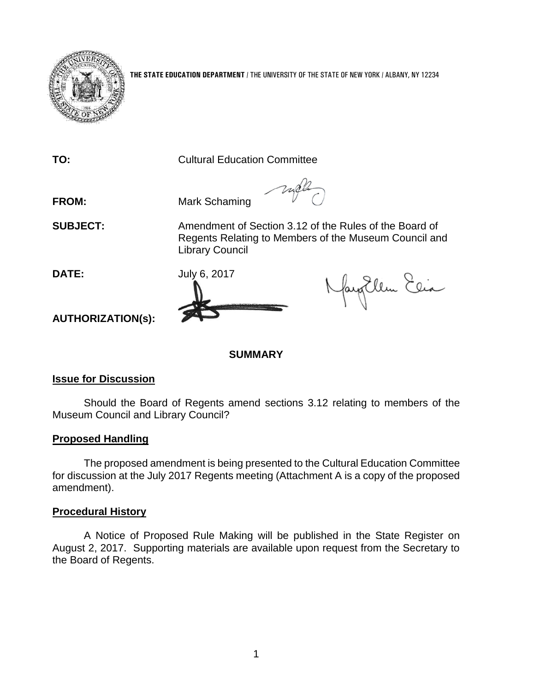

**THE STATE EDUCATION DEPARTMENT** / THE UNIVERSITY OF THE STATE OF NEW YORK / ALBANY, NY 12234

**TO:** Cultural Education Committee

**FROM:** Mark Schaming

**SUBJECT:** Amendment of Section 3.12 of the Rules of the Board of

Regents Relating to Members of the Museum Council and Library Council

**DATE:** July 6, 2017

Nayollen Elia

**AUTHORIZATION(s):**

# **SUMMARY**

# **Issue for Discussion**

Should the Board of Regents amend sections 3.12 relating to members of the Museum Council and Library Council?

# **Proposed Handling**

The proposed amendment is being presented to the Cultural Education Committee for discussion at the July 2017 Regents meeting (Attachment A is a copy of the proposed amendment).

# **Procedural History**

A Notice of Proposed Rule Making will be published in the State Register on August 2, 2017. Supporting materials are available upon request from the Secretary to the Board of Regents.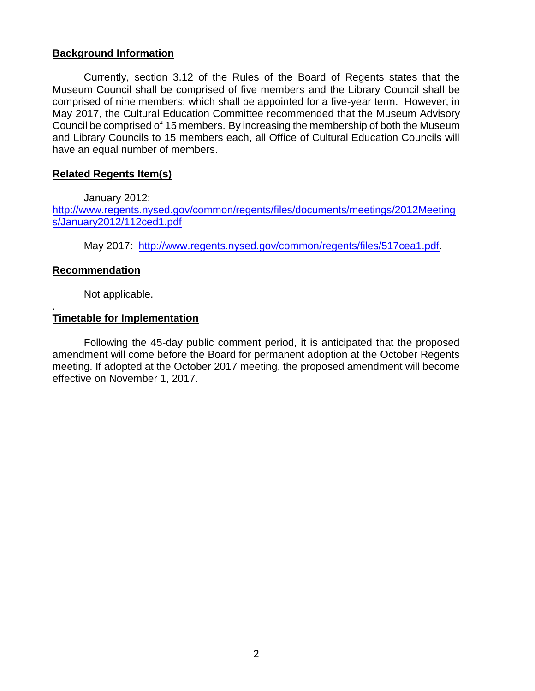# **Background Information**

Currently, section 3.12 of the Rules of the Board of Regents states that the Museum Council shall be comprised of five members and the Library Council shall be comprised of nine members; which shall be appointed for a five-year term. However, in May 2017, the Cultural Education Committee recommended that the Museum Advisory Council be comprised of 15 members. By increasing the membership of both the Museum and Library Councils to 15 members each, all Office of Cultural Education Councils will have an equal number of members.

### **Related Regents Item(s)**

January 2012:

[http://www.regents.nysed.gov/common/regents/files/documents/meetings/2012Meeting](http://www.regents.nysed.gov/common/regents/files/documents/meetings/2012Meetings/January2012/112ced1.pdf) [s/January2012/112ced1.pdf](http://www.regents.nysed.gov/common/regents/files/documents/meetings/2012Meetings/January2012/112ced1.pdf)

May 2017: [http://www.regents.nysed.gov/common/regents/files/517cea1.pdf.](http://www.regents.nysed.gov/common/regents/files/517cea1.pdf)

# **Recommendation**

.

Not applicable.

# **Timetable for Implementation**

Following the 45-day public comment period, it is anticipated that the proposed amendment will come before the Board for permanent adoption at the October Regents meeting. If adopted at the October 2017 meeting, the proposed amendment will become effective on November 1, 2017.